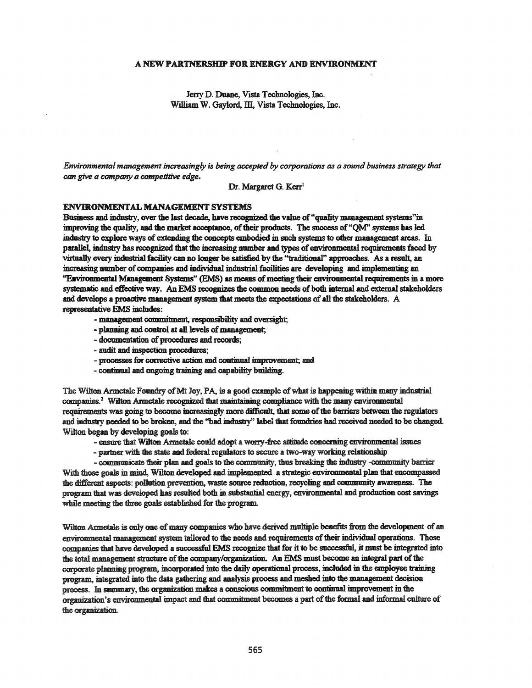# A NEW PARTNERSHIP FOR ENERGY AND ENVIRONMENT

Jerry D. Duane, Vista Technologies, Inc. William W. Gaylord, III, Vista Technologies, Inc.

*Environmental management increasingly is being accepted by corporations as a sound business strategy that can give a company a competitive edge.*

Dr. Margaret G. Kerr<sup>1</sup>

## ENVIRONMENTAL MANAGEMENT SYSTEMS

Business and industry, over the last decade, have recognized the value of "quality management systems"in improving the quality, and the market acceptance, of their products. The success of "OM" systems has led industry to explore ways of extending the concepts embodied in such systems to other management areas. In parallel, industry has recognized that the increasing number and types of environmental requirements faced by virtwilly every industrial facility can no longer be satisfied by the ''traditional'' approaches. As a result, an increasing number of companies and individual industrial facilities are developing and implementing an "Environmental Management Systems" (EMS) as means of meeting their environmental requirements in a more systematic and effective way. An EMS recognizes the common needs of both internal and external stakeholders and develops a proactive management system that meets the expectations of all the stakeholders. A xepresentative EMS includes:

- management commitment, responsibility and oversight;
- planning and control at all levels of management;
- documentation of procedures and records;
- audit and inspection procedures;
- processes for corrective action and continual improvement; and
- continual and ongoing training and capability building.

The Wilton Armetale Foundry of Mt Joy, PA, is a good example of what is happening within many industrial companies.<sup>2</sup> Wilton Armetale recognized that maintaining compliance with the many environmental requirements was going to become increasingly more difficult, that some of the barriers between the regulators and industry needed to be broken, and the "bad industry" label that foundries had received needed to be changed. Wilton began by developing goals to:

- ensure that Wilton Armetale could adopt a worry-free attitude concerning environmental issues
- partner with the state and federal regulators to secure a two-way working relationship

- communicate their plan and goals to the community, thus breaking the industry -community barrier With those goals in mind, Wilton developed and implemented a strategic environmental plan that encompassed the different aspects: pollution prevention, waste source reduction, recycling and community awareness. The program that was developed has resulted both in substantial energy, environmental and production cost savings while meeting the three goals established for the program.

Wilton Armetale is only one of many companies who have derived multiple benefits from the development of an environmental management system tailored to the needs and requirements of their individual operations. Those companies that have developed a successfu1 EMS recognize that for it to be snccessful, it must be integrated into the total management structure of the company/organization. An EMS must become an integral part of the corporate planning program, incorporated into the daily operational process, included in the employee training program, integrated into the data gathering and analysis process and meshed into the management decision process. In summary, the organization makes a conscious commitment to continual improvement in the organization's enviromnental impact and that commitment becomes a part ofthe formal and informal culture of the organization.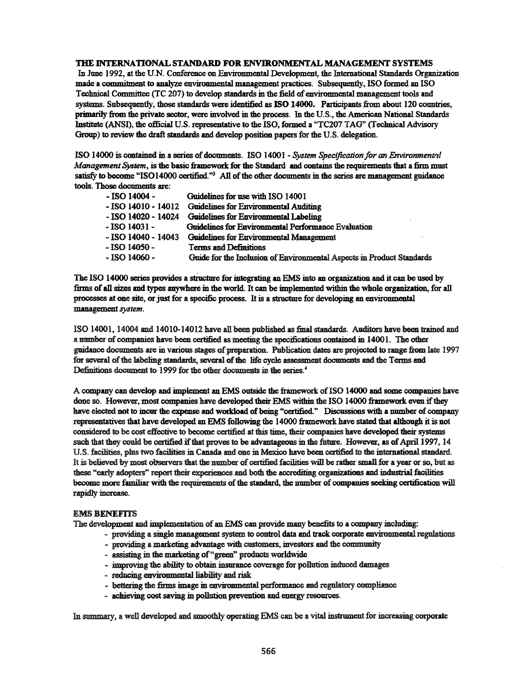# TIlE INTERNATIONAL STANDARD FOR ENVIRONMENTAL MANAGEMENT SYSTEMS

In June 1992, at the U.N. Conference on Environmental Development, the International Standards Organization made a commitment to analyze environmental management practices. Subsequently, ISO formed an ISO Technical Committee (TC 207) to develop standards in the field of environmental management tools and systems. Subsequently, those standards were identified as ISO 14000. Participants from about 120 countries, primarily from the private sector, were involved in the process. In the U.S., the American National Standards Institute (ANS!), the official U.S. representative to the ISO, formed a "TC207 TAG" (Technical Advisory Group) to review the draft standards and develop position papers for the U.S. delegation.

ISO 14000 is contained in a series ofdocuments. ISO 1400I - *System Specification for an Environmenlt'll Management System,* is the basic framework for the Standard and contains the requirements that a:firm must satisfy to become "ISO14000 certified." $3$  All of the other documents in the series are management guidance tools. Those documents are:

| - ISO 14004 -            | Guidelines for use with ISO 14001                                     |
|--------------------------|-----------------------------------------------------------------------|
| - ISO 14010 - 14012      | <b>Guidelines for Environmental Auditing</b>                          |
| $-$ ISO 14020 $-$ 14024  | Guidelines for Environmental Labeling                                 |
| $\sim$ ISO 14031 $\sim$  | Guidelines for Environmental Performance Evaluation                   |
| $\sim$ ISO 14040 - 14043 | <b>Guidelines for Environmental Management</b>                        |
| $-$ ISO 14050 $-$        | <b>Terms and Definitions</b>                                          |
| $-$ ISO 14060 $-$        | Guide for the Inclusion of Environmental Aspects in Product Standards |

The ISO 14000 series provides a structure for integrating an EMS into an organization and it can be used by firms of all sizes and types anywhere in the world. It can be implemented within the whole organization, for all processes at one site, or just for a specific process. It is a structure for developing an environmental management*system.*

ISO 14001, 14004 and 14010-14012 have all been published as final standards. Auditors have been trained and a number of companies have been certified as meeting the specifications contained in 14001. The other guidance documents are in various stages of preparation. Publication dates are projected to range from late 1997 for several of the labeling standards, several of the life cycle assessment documents and the Terms and Definitions document to 1999 for the other documents in the series.<sup>4</sup>

A company can develop and implement an EMS outside the framework ofISO 14000 and some companies have done so. However, most companies have developed their EMS within the ISO 14000 framework even if they have elected not to incur the expense and workload of being "certified." Discussions with a number of company representatives that have developed an EMS following the 14000 framework have stated that although it is not considered to be cost effective to become certified at this time, their companies have developed their systems such that they could be certified if that proves to be advantageous in the future. However, as of April 1997, 14 U.S. facilities, plus two facilities in Canada and one in Mexico have been certified to the international standard. It is believed by most observers that the number of certified facilities will be rather small for a year or so, but as these "early adopters" report their experiences and both the accrediting organizatioos and industrial facilities become more familiar with the requirements of the standard, the number of companies seeking certification will rapidly increase.

#### EMS BENEFITS

The development and implementation of an EMS can provide many benefits to a company including:

- providing a single management system to control data and track corporate euvironmental regulations
- providing a marketing advantage with customers, investors and the community
- assisting in the marketing of "green" products worldwide
- improving the ability to obtain insurance coverage for pollution induced damages
- reducing environmental liability and risk
- bettering the firms image in environmental performance and regulatory compliance
- achieving cost saving in pollution prevention and energy resources.

In summary, a well developed and smoothly operating EMS can be a vital instrument for increasing corporate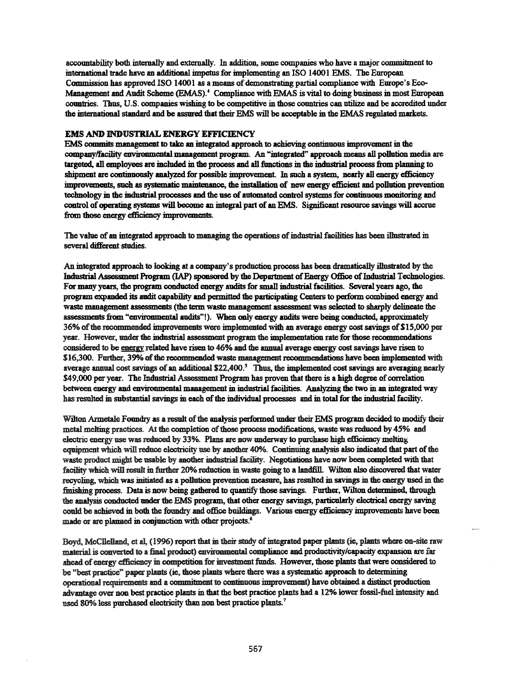accountability both intemally and externally. In addition, some companies who have a major commitment to international trade have an additional impetus for implementing an ISO 14001 EMS. The European Commission has approved ISO 14001 as a means of demonstrating partial compliance with Europe's Eco-Management and Audit Scheme (EMAS).<sup>4</sup> Compliance with EMAS is vital to doing business in most Emopean countries. Thus, U.S. companies wishing to be competitive in those countries can utilize and be accredited under the international standard and be assured that their EMS will be acceptable in the EMAS regulated markets.

## EMS AND INDUSTRIAL ENERGY EFFICIENCY

EMS commits management to take an integrated approach to achieving continuous improvement in the company/facility environmental management program. An "integrated" approach means all pollution media are targeted, all employees are included in the process and all functions in the industrial processfrom planning to shipment are continuously analyzed for possible improvement. In such a system, nearly all energy efficiency improvements, such as systematic maintenance, the installation of new energy efficient and pollution prevention technology in the industrial processes and the use of automated control systemsfor continuous monitoring and control of operating systems will become an integral part of an EMS. Significant resource savings will accrue from those energy efficiency improvements.

The value of an integrated approach to managing the operations of industrial facilities has been illustrated in several different studies.

An integrated approach to looking at a company's production process has been dramatically illustrated by the Industrial Assessment Program (IAP) sponsored by the Department of Energy Office of Industrial Technologies. For many years, the program conducted energy audits for small industrial facilities. Several years ago, the program expanded its audit capability and permitted the participating Centers to perform combined energy and waste management assessments (the term waste management assessment was selected to sharply delineate the assessments from "environmental audits"!). When only energy audits were being conducted, approximately 36% of the recommended improvements were implemented with an average energy cost savings of \$15,000 per year. However, under the indnstrial assessment program the implementation rate for those recommendations considered to be energy related have risen to 46% and the annual average energy cost savings have risen to \$16,300. Further, 39% of the recommended waste management recommendations have been implemented with average annual cost savings of an additional \$22,400.*<sup>S</sup>* Thus, the implemented costsavings are averaging nearly \$49,000 per year. The Industrial Assessment Program has proven that there is a high degree of correlation between energy and environmental management in industrial facilities. Analyzing the two in an integrated way has resulted in substantial savings in each of the individual processes and in total for the industrial facility.

Wilton Armetale Foundry as a result of the analysis performed under their EMS program decided to modify their metal melting practices. At the completion of those process modifications, waste was reduced by 45% and electric energy use was redooed by 33%. Plans are now underway to pmchase high efficiency melting equipment which will reduce electricity use by another 40%. Continuing analysis also indicated that part of the waste product might be usable by another industrial facility. Negotiations have now been completed with that facility which will result in further 20% rednction in waste going to a landfilL Wilton also discovered that water recycling, which was initiated as a pollution prevention measure, has resulted in savings in the energy used in the finishing process. Data is now being gathered to quantify those savings. Further, Wilton determined, through the analysis conducted under the EMS program, that other energy savings, particolarly electrical energy saving could be achieved in both the foundry and office buildings. Various energy efficiency improvements have been made or are plamed in conjunction with other projects.<sup>6</sup>

Boyd, McCllelland, et al, (1996) report that in their study of integrated paper plants (ie, plants where on-site raw material is converted to a final product) environmental compliance and productivity/capacity expansion are far ahead ofenergy efficiency in competition for mvestment funds. However, those plants that were considered to be "best practice" paper plants (ie, those plants where there was a systematic approach to determining operational requirements md <sup>a</sup> commitment to continuousimprovement) me obtained <sup>a</sup> distinct production advantage over non best practice plants in that the best practice plants had a 12% lower fossil-fuel intensity and used 80% less purchased electricity than non best practice plants.<sup>7</sup>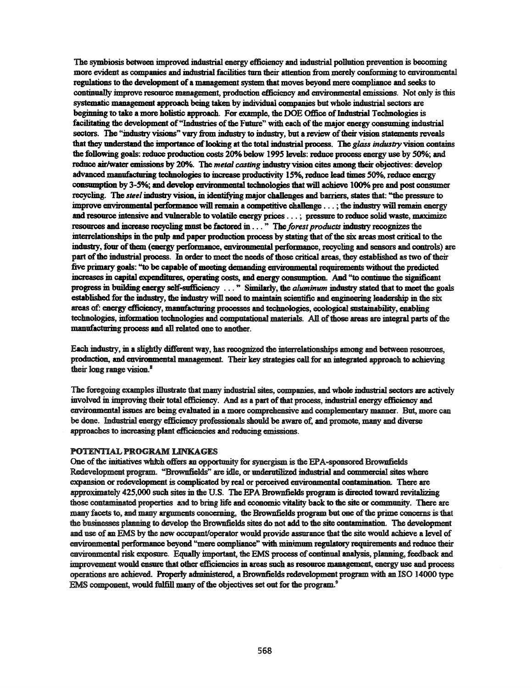The symbiosis between improved industrial energy efficiency and industrial pollution prevention is becoming more evident as companies and industrial facilities tmn their attention from merely conforming to environmental regulations to the development of a management system that moves beyond mere compliance and seeks to continually improve resomce management, production efficiency and environmental emissions. Not only is this systematic management approach being taken by individual companies but whole industrial sectors are beginning to take a more holistic approach. For example, the DOE Office of Industrial Technologies is facilitating the development of "Industries of the Future" with each of the major energy consuming industrial sectors. The "industry visions" vary from industry to industry, but a review of their vision statements reveals that they understand the importance of looking at the total industrial process. The *glass industry* vision contains the following goals: reduce production costs 20% below 1995 levels: reduce process energy use by 50%; and reduce air/water emissions by 20%. The *metal casting* industry vision cites among their objectives: develop advanced manufacturing technologies to increase productivity 15%, reduce lead times 50%, reduce energy consumption by 3-5%; and develop environmental technologies that will achieve 100% pre and post consumer recycling. The *steel* industry vision, in identifying major challenges and barriers, states that: "the pressure to improve environmental performance will remain a competitive challenge ...; the industry will remain energy and resource intensive and vulnerable to volatile energy prices ...; pressure to reduce solid waste, maximize resources and increase recycling must be factored in . . . " The *forest products* industry recognizes the interrelationships in the pulp and paper production process by stating that of the six areas most critical to the industry, four of them (energy performance, environmental performance, recycling and sensors and controls) are part of the industrial process. In order to meet the needs of those critical areas, they established as two of their five primary goals: "to be capable of meeting demanding environmental requirements without the predicted increases in capital expenditures. operating costs. and energy consumption. And "to continue the significant progress in building energy self-sufficiency ..." Similarly, the *aluminum* industry stated that to meet the goals established for the industry, the industry will need to maintain scientific and engineering leadership in the six areas of: energy efficiency, manufacturing processes and technologies, ecological sustainability, enabling technologies, information technologies and computational materials. All of those areas are integral parts of the manufacturing process and all related one to another.

Each industry. in a slightly different way. has recognized the interrelationships among and between resources. production, and environmental management. Their key strategies call for an integrated approach to achieving their long range vision. $<sup>8</sup>$ </sup>

The foregoing examples illustrate that many industrial sites, companies, and whole industrial sectors are actively involved in improving their total efficiency. And as a part of that process, industrial energy efficiency and environmental issues are being evaluated in a more comprehensive and complementary manner. Bat. more can be done. Industrial energy efficiency professionals should be aware of. and promote. many and diverse approaches to increasing plant efficiencies and reducing emissions.

### POTENTIAL PROGRAM LINKAGES

One of the initiatives which offers an opportunity for synergism is the EPA-sponsored Brownfields Redevelopment program. "Brownfields" are idle, or underutilized industrial and commercial sites where expansion or redevelopment is complicated by real or perceived environmental contamination. There are approximately 425,000 such sites in the U.S. The EPA Brownfields program is directed toward revitalizing those contaminated properties and to bring life and economic vitality back to the site or community. There are many facets to, and many arguments concerning, the Brownfields program but one of the prime concerns is that the businesses planning to develop the Brownfields sites do not add to the site contamination. The development and use of an EMS by the new occupant/operator would provide assurance that the site would aclrieve a level of environmental performance beyond "mere compliance" with minimum regulatory requirements and reduce their environmental risk exposure. Eqnally important. the EMS process ofcontinual analysis. planning. feedback and improvement would ensure that other efficiencies in areas such as resource management, energy use and process operations are achieved. Properly administered, a Brownfields redevelopment program with an ISO 14000 type EMS component, would fulfill many of the objectives set out for the program.<sup>9</sup>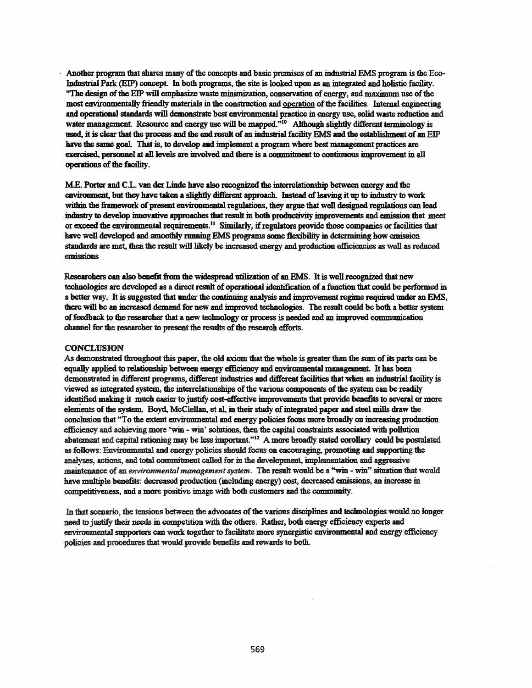Another program that shares many of the concepts and basic premises of an industrial EMS program is the Eco--Industrial Park (EIP) concept. In both programs, the site is looked upon as an integrated and holistic facility. "The design of the EIP will emphasize waste minimization, conservation of energy, and maximum use of the most environmentally friendly materials in the construction and gperation ofthe facilities. Internal engineering and operational standards will demonstrate best environmental practice in energy use, solid waste reduction and water management. Resource and energy use will be mapped."<sup>10</sup> Although slightly different terminology is used, it is clear that the process and the end result of an industrial facility EMS and the establishment of an EIP have the same goal. That is, to develop and implement a program where best management practices are exercised., personnel at all levels are mvolved and there is a commitment to continuous improvement in all operations of the facility.

ME. Porter and C.L. van der Linde have also recognized the interrelationship between energy and the environment, but they have taken a slightly different approach. Instead of leaving it up to industry to work within the framework of present environmental regulations, they argue that well designed regulations can lead industry to develop innovative approaches that result in both productivity improvements and emission that meet or exceed the environmental requirements.<sup>11</sup> Similarly, if regulators provide those companies or facilities that have well developed and smoothly running EMS programs some flexibility in determining how emission standards are met, then the result will likely be increased energy and production efficiencies as well as reduced emissions

Researchers can also benefit from the widespread utilization of an EMS. It is well recognized that new technologies are developed as a direct result of operational identification of a function that could be performed in a better way. It is suggested that under the continuing analysis and improvement regime required under an EMS, there will be an increased demand for new and improved technologies. The resnh could be both a better system offeedback to the researcher that a new technology or process is needed and an improved communication channel for the researcher to present the results of the research efforts.

### **CONCLUSION**

As demonstrated throughout this paper, the old axiom that the whole is greater than the smn ofits parts can be equally applied to relationship between energy efficiency and environmental management. It has been demonstrated in different programs, different industries and different facilities that when an industrial facility is viewed as integrated system, the interrelationships of the various components of the system can be readily identified making it much easier to justify cost-effective improvements that provide benefits to several or more elements of the system. Boyd, McClellan, et al, in their study of integrated paper and steel mills draw the conclusion that "To the extent environmental and energy policiesfocus more broadly on increasing production efficiency md achieving more 'win - win' solutions, then the capital constraints associated with pollution abatement and capital rationing may be less important."12 A more broadly stated corollary could be postulated as follows: Environmental and energy policies should focus on encouraging, promoting and supporting the analyses, actions, and total commitment called for in the development, implementation and aggressive maintenance of an *environmental management system*. The result would be a "win - win" situation that would have multiple benefits: decreased production (including energy) cost, decreased emissions, m increase in competitiveness, and a more positive image with both customers and the community.

In that scenario, the tensions between the advocates of the various disciplines and technologies would no longer need to justify their needs in competition with the others. Rather, both energy efficiency experts and environmental supporters can work together to facilitate more synergistic environmental and energy efficiency policies and procedures that would provide benefits and rewards to both.